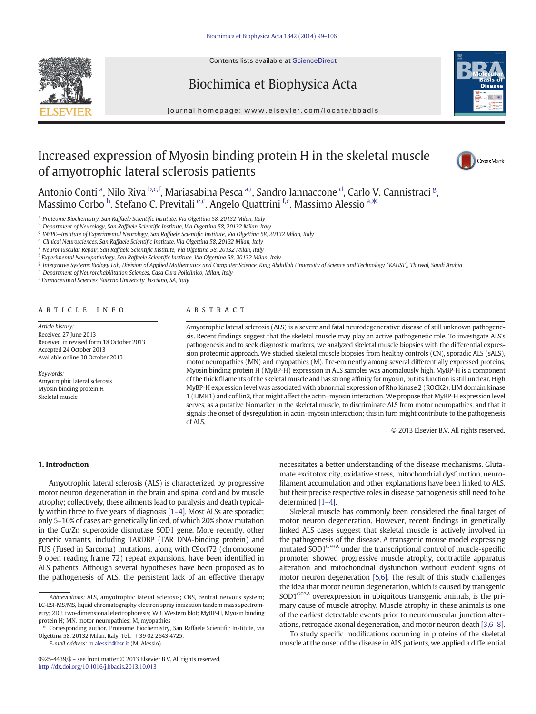Contents lists available at [ScienceDirect](http://www.sciencedirect.com/science/journal/09254439)

# Biochimica et Biophysica Acta



journal homepage: www.elsevier.com/locate/bbadis

# Increased expression of Myosin binding protein H in the skeletal muscle of amyotrophic lateral sclerosis patients



Antonio Conti <sup>a</sup>, Nilo Riva <sup>b,c,f</sup>, Mariasabina Pesca <sup>a,i</sup>, Sandro Iannaccone <sup>d</sup>, Carlo V. Cannistraci <sup>g</sup>, Massimo Corbo <sup>h</sup>, Stefano C. Previtali <sup>e,c</sup>, Angelo Quattrini <sup>f,c</sup>, Massimo Alessio <sup>a,\*</sup>

a Proteome Biochemistry, San Raffaele Scientific Institute, Via Olgettina 58, 20132 Milan, Italy

<sup>b</sup> Department of Neurology, San Raffaele Scientific Institute, Via Olgettina 58, 20132 Milan, Italy

 $c$  INSPE-Institute of Experimental Neurology, San Raffaele Scientific Institute, Via Olgettina 58, 20132 Milan, Italy

<sup>d</sup> Clinical Neurosciences, San Raffaele Scientific Institute, Via Olgettina 58, 20132 Milan, Italy

<sup>e</sup> Neuromuscular Repair, San Raffaele Scientific Institute, Via Olgettina 58, 20132 Milan, Italy

<sup>f</sup> Experimental Neuropathology, San Raffaele Scientific Institute, Via Olgettina 58, 20132 Milan, Italy

g Integrative Systems Biology Lab, Division of Applied Mathematics and Computer Science, King Abdullah University of Science and Technology (KAUST), Thuwal, Saudi Arabia

h Department of Neurorehabilitation Sciences, Casa Cura Policlinico, Milan, Italy

<sup>i</sup> Farmaceutical Sciences, Salerno University, Fisciano, SA, Italy

## article info abstract

Article history: Received 27 June 2013 Received in revised form 18 October 2013 Accepted 24 October 2013 Available online 30 October 2013

Keywords: Amyotrophic lateral sclerosis Myosin binding protein H Skeletal muscle

Amyotrophic lateral sclerosis (ALS) is a severe and fatal neurodegenerative disease of still unknown pathogenesis. Recent findings suggest that the skeletal muscle may play an active pathogenetic role. To investigate ALS's pathogenesis and to seek diagnostic markers, we analyzed skeletal muscle biopsies with the differential expression proteomic approach. We studied skeletal muscle biopsies from healthy controls (CN), sporadic ALS (sALS), motor neuropathies (MN) and myopathies (M). Pre-eminently among several differentially expressed proteins, Myosin binding protein H (MyBP-H) expression in ALS samples was anomalously high. MyBP-H is a component of the thick filaments of the skeletal muscle and has strong affinity for myosin, but its function is still unclear. High MyBP-H expression level was associated with abnormal expression of Rho kinase 2 (ROCK2), LIM domain kinase 1 (LIMK1) and cofilin2, that might affect the actin–myosin interaction. We propose that MyBP-H expression level serves, as a putative biomarker in the skeletal muscle, to discriminate ALS from motor neuropathies, and that it signals the onset of dysregulation in actin–myosin interaction; this in turn might contribute to the pathogenesis of ALS.

© 2013 Elsevier B.V. All rights reserved.

## 1. Introduction

Amyotrophic lateral sclerosis (ALS) is characterized by progressive motor neuron degeneration in the brain and spinal cord and by muscle atrophy; collectively, these ailments lead to paralysis and death typically within three to five years of diagnosis [\[1](#page-6-0)–4]. Most ALSs are sporadic; only 5–10% of cases are genetically linked, of which 20% show mutation in the Cu/Zn superoxide dismutase SOD1 gene. More recently, other genetic variants, including TARDBP (TAR DNA-binding protein) and FUS (Fused in Sarcoma) mutations, along with C9orf72 (chromosome 9 open reading frame 72) repeat expansions, have been identified in ALS patients. Although several hypotheses have been proposed as to the pathogenesis of ALS, the persistent lack of an effective therapy

E-mail address: [m.alessio@hsr.it](mailto:m.alessio@hsr.it) (M. Alessio).

necessitates a better understanding of the disease mechanisms. Glutamate excitotoxicity, oxidative stress, mitochondrial dysfunction, neurofilament accumulation and other explanations have been linked to ALS, but their precise respective roles in disease pathogenesis still need to be determined [\[1](#page-6-0)–4].

Skeletal muscle has commonly been considered the final target of motor neuron degeneration. However, recent findings in genetically linked ALS cases suggest that skeletal muscle is actively involved in the pathogenesis of the disease. A transgenic mouse model expressing mutated SOD1<sup>G93A</sup> under the transcriptional control of muscle-specific promoter showed progressive muscle atrophy, contractile apparatus alteration and mitochondrial dysfunction without evident signs of motor neuron degeneration [\[5,6\]](#page-6-0). The result of this study challenges the idea that motor neuron degeneration, which is caused by transgenic SOD1<sup>G93A</sup> overexpression in ubiquitous transgenic animals, is the primary cause of muscle atrophy. Muscle atrophy in these animals is one of the earliest detectable events prior to neuromuscular junction alterations, retrogade axonal degeneration, and motor neuron death [\[3,6](#page-6-0)–8].

To study specific modifications occurring in proteins of the skeletal muscle at the onset of the disease in ALS patients, we applied a differential

Abbreviations: ALS, amyotrophic lateral sclerosis; CNS, central nervous system; LC-ESI-MS/MS, liquid chromatography electron spray ionization tandem mass spectrometry; 2DE, two-dimensional electrophoresis; WB, Western blot; MyBP-H, Myosin binding protein H; MN, motor neuropathies; M, myopathies

<sup>⁎</sup> Corresponding author. Proteome Biochemistry, San Raffaele Scientific Institute, via Olgettina 58, 20132 Milan, Italy. Tel.: +39 02 2643 4725.

<sup>0925-4439/\$</sup> – see front matter © 2013 Elsevier B.V. All rights reserved. <http://dx.doi.org/10.1016/j.bbadis.2013.10.013>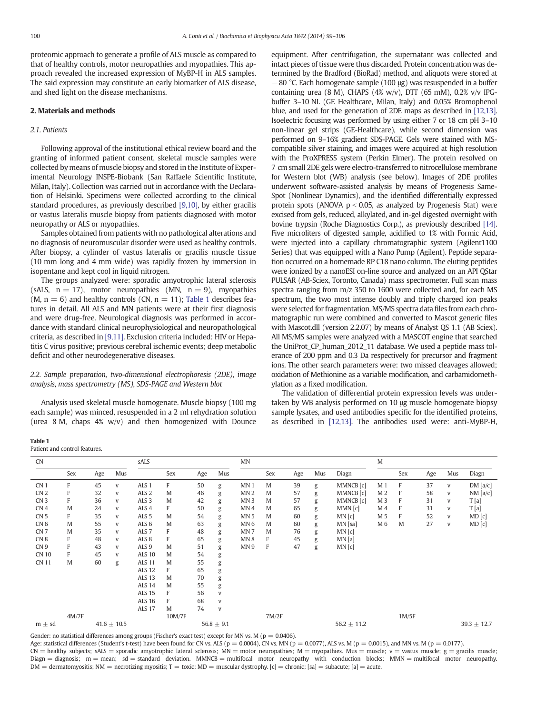proteomic approach to generate a profile of ALS muscle as compared to that of healthy controls, motor neuropathies and myopathies. This approach revealed the increased expression of MyBP-H in ALS samples. The said expression may constitute an early biomarker of ALS disease, and shed light on the disease mechanisms.

#### 2. Materials and methods

#### 2.1. Patients

Following approval of the institutional ethical review board and the granting of informed patient consent, skeletal muscle samples were collected by means of muscle biopsy and stored in the Institute of Experimental Neurology INSPE-Biobank (San Raffaele Scientific Institute, Milan, Italy). Collection was carried out in accordance with the Declaration of Helsinki. Specimens were collected according to the clinical standard procedures, as previously described [\[9,10\],](#page-6-0) by either gracilis or vastus lateralis muscle biopsy from patients diagnosed with motor neuropathy or ALS or myopathies.

Samples obtained from patients with no pathological alterations and no diagnosis of neuromuscular disorder were used as healthy controls. After biopsy, a cylinder of vastus lateralis or gracilis muscle tissue (10 mm long and 4 mm wide) was rapidly frozen by immersion in isopentane and kept cool in liquid nitrogen.

The groups analyzed were: sporadic amyotrophic lateral sclerosis (sALS,  $n = 17$ ), motor neuropathies (MN,  $n = 9$ ), myopathies  $(M, n = 6)$  and healthy controls  $(CN, n = 11)$ ; Table 1 describes features in detail. All ALS and MN patients were at their first diagnosis and were drug-free. Neurological diagnosis was performed in accordance with standard clinical neurophysiological and neuropathological criteria, as described in [\[9,11\]](#page-6-0). Exclusion criteria included: HIV or Hepatitis C virus positive; previous cerebral ischemic events; deep metabolic deficit and other neurodegenerative diseases.

### 2.2. Sample preparation, two-dimensional electrophoresis (2DE), image analysis, mass spectrometry (MS), SDS-PAGE and Western blot

Analysis used skeletal muscle homogenate. Muscle biopsy (100 mg each sample) was minced, resuspended in a 2 ml rehydration solution (urea 8 M, chaps 4% w/v) and then homogenized with Dounce equipment. After centrifugation, the supernatant was collected and intact pieces of tissue were thus discarded. Protein concentration was determined by the Bradford (BioRad) method, and aliquots were stored at −80 °C. Each homogenate sample (100 μg) was resuspended in a buffer containing urea (8 M), CHAPS (4% w/v), DTT (65 mM),  $0.2%$  v/v IPGbuffer 3–10 NL (GE Healthcare, Milan, Italy) and 0.05% Bromophenol blue, and used for the generation of 2DE maps as described in [\[12,13\].](#page-6-0) Isoelectric focusing was performed by using either 7 or 18 cm pH 3–10 non-linear gel strips (GE-Healthcare), while second dimension was performed on 9–16% gradient SDS-PAGE. Gels were stained with MScompatible silver staining, and images were acquired at high resolution with the ProXPRESS system (Perkin Elmer). The protein resolved on 7 cm small 2DE gels were electro-transferred to nitrocellulose membrane for Western blot (WB) analysis (see below). Images of 2DE profiles underwent software-assisted analysis by means of Progenesis Same-Spot (Nonlinear Dynamics), and the identified differentially expressed protein spots (ANOVA  $p < 0.05$ , as analyzed by Progenesis Stat) were excised from gels, reduced, alkylated, and in-gel digested overnight with bovine trypsin (Roche Diagnostics Corp.), as previously described [\[14\].](#page-6-0) Five microliters of digested sample, acidified to 1% with Formic Acid, were injected into a capillary chromatographic system (Agilent1100 Series) that was equipped with a Nano Pump (Agilent). Peptide separation occurred on a homemade RP C18 nano column. The eluting peptides were ionized by a nanoESI on-line source and analyzed on an API QStar PULSAR (AB-Sciex, Toronto, Canada) mass spectrometer. Full scan mass spectra ranging from m/z 350 to 1600 were collected and, for each MS spectrum, the two most intense doubly and triply charged ion peaks were selected for fragmentation. MS/MS spectra data files from each chromatographic run were combined and converted to Mascot generic files with Mascot.dll (version 2.2.07) by means of Analyst QS 1.1 (AB Sciex). All MS/MS samples were analyzed with a MASCOT engine that searched the UniProt\_CP\_human\_2012\_11 database. We used a peptide mass tolerance of 200 ppm and 0.3 Da respectively for precursor and fragment ions. The other search parameters were: two missed cleavages allowed; oxidation of Methionine as a variable modification, and carbamidomethylation as a fixed modification.

The validation of differential protein expression levels was undertaken by WB analysis performed on 10 μg muscle homogenate biopsy sample lysates, and used antibodies specific for the identified proteins, as described in [\[12,13\]](#page-6-0). The antibodies used were: anti-MyBP-H,

#### Table 1 Patient and control features.

| <b>CN</b>       |             |     |                                                                                                                                                                                                                                                                                                                                                                                                                                | sALS             |        |     |                                                                                                                                                                                                                                                                                                                                                                                                                                | MN              |       |     |                                                                                                                                                                                                                                                                                                                                                                                                                                |           | M              |       |                 |     |         |
|-----------------|-------------|-----|--------------------------------------------------------------------------------------------------------------------------------------------------------------------------------------------------------------------------------------------------------------------------------------------------------------------------------------------------------------------------------------------------------------------------------|------------------|--------|-----|--------------------------------------------------------------------------------------------------------------------------------------------------------------------------------------------------------------------------------------------------------------------------------------------------------------------------------------------------------------------------------------------------------------------------------|-----------------|-------|-----|--------------------------------------------------------------------------------------------------------------------------------------------------------------------------------------------------------------------------------------------------------------------------------------------------------------------------------------------------------------------------------------------------------------------------------|-----------|----------------|-------|-----------------|-----|---------|
|                 | Sex         | Age | Mus                                                                                                                                                                                                                                                                                                                                                                                                                            |                  | Sex    | Age | Mus                                                                                                                                                                                                                                                                                                                                                                                                                            |                 | Sex   | Age | Mus                                                                                                                                                                                                                                                                                                                                                                                                                            | Diagn     |                | Sex   | Age             | Mus | Diagn   |
| CN <sub>1</sub> | F           | 45  | V                                                                                                                                                                                                                                                                                                                                                                                                                              | ALS <sub>1</sub> | F      | 50  | g                                                                                                                                                                                                                                                                                                                                                                                                                              | MN <sub>1</sub> | M     | 39  | g                                                                                                                                                                                                                                                                                                                                                                                                                              | MMNCB [c] | M <sub>1</sub> | F     | 37              | V   | DM[a/c] |
| CN <sub>2</sub> | F           | 32  | V                                                                                                                                                                                                                                                                                                                                                                                                                              | ALS <sub>2</sub> | M      | 46  | g                                                                                                                                                                                                                                                                                                                                                                                                                              | MN <sub>2</sub> | M     | 57  | g                                                                                                                                                                                                                                                                                                                                                                                                                              | MMNCB [c] | M <sub>2</sub> | F     | 58              | V   | NM[a/c] |
| CN <sub>3</sub> | F           | 36  | V                                                                                                                                                                                                                                                                                                                                                                                                                              | ALS <sub>3</sub> | M      | 42  | g                                                                                                                                                                                                                                                                                                                                                                                                                              | MN <sub>3</sub> | M     | 57  | g                                                                                                                                                                                                                                                                                                                                                                                                                              | MMNCB [c] | M 3            | F     | 31              | V   | T[a]    |
| CN <sub>4</sub> | M           | 24  | V                                                                                                                                                                                                                                                                                                                                                                                                                              | ALS <sub>4</sub> | F      | 50  | g                                                                                                                                                                                                                                                                                                                                                                                                                              | MN4             | M     | 65  | g                                                                                                                                                                                                                                                                                                                                                                                                                              | MMN[c]    | M 4            | F     | 31              | V   | T[a]    |
| CN <sub>5</sub> | F           | 35  | V                                                                                                                                                                                                                                                                                                                                                                                                                              | ALS <sub>5</sub> | M      | 54  | g                                                                                                                                                                                                                                                                                                                                                                                                                              | MN <sub>5</sub> | M     | 60  | g                                                                                                                                                                                                                                                                                                                                                                                                                              | MN[c]     | M 5            | F     | 52              | V   | MD[c]   |
| CN <sub>6</sub> | M           | 55  | V                                                                                                                                                                                                                                                                                                                                                                                                                              | ALS <sub>6</sub> | M      | 63  | g                                                                                                                                                                                                                                                                                                                                                                                                                              | MN <sub>6</sub> | M     | 60  | g                                                                                                                                                                                                                                                                                                                                                                                                                              | $MN$ [sa] | M 6            | M     | 27              | V   | MD[c]   |
| CN <sub>7</sub> | M           | 35  | V                                                                                                                                                                                                                                                                                                                                                                                                                              | ALS <sub>7</sub> | F      | 48  | g                                                                                                                                                                                                                                                                                                                                                                                                                              | MN <sub>7</sub> | M     | 76  | g                                                                                                                                                                                                                                                                                                                                                                                                                              | MN[c]     |                |       |                 |     |         |
| CN <sub>8</sub> | F           | 48  | V                                                                                                                                                                                                                                                                                                                                                                                                                              | ALS <sub>8</sub> | F      | 65  | g                                                                                                                                                                                                                                                                                                                                                                                                                              | MN <sub>8</sub> | F     | 45  | $\mathbf{g}% _{T}=\mathbf{g}_{T}=\mathbf{g}_{T}=\mathbf{g}_{T}=\mathbf{g}_{T}=\mathbf{g}_{T}=\mathbf{g}_{T}=\mathbf{g}_{T}=\mathbf{g}_{T}=\mathbf{g}_{T}=\mathbf{g}_{T}=\mathbf{g}_{T}=\mathbf{g}_{T}=\mathbf{g}_{T}=\mathbf{g}_{T}=\mathbf{g}_{T}=\mathbf{g}_{T}=\mathbf{g}_{T}=\mathbf{g}_{T}=\mathbf{g}_{T}=\mathbf{g}_{T}=\mathbf{g}_{T}=\mathbf{g}_{T}=\mathbf{g}_{T}=\mathbf{g}_{T}=\mathbf{g}_{T}=\mathbf{g}_{T}=\math$ | MN[a]     |                |       |                 |     |         |
| CN <sub>9</sub> | F           | 43  | V                                                                                                                                                                                                                                                                                                                                                                                                                              | ALS <sub>9</sub> | M      | 51  | g                                                                                                                                                                                                                                                                                                                                                                                                                              | MN <sub>9</sub> | F     | 47  | g                                                                                                                                                                                                                                                                                                                                                                                                                              | MN[c]     |                |       |                 |     |         |
| <b>CN 10</b>    | F           | 45  | V                                                                                                                                                                                                                                                                                                                                                                                                                              | <b>ALS 10</b>    | M      | 54  | $\mathbf{g}% _{T}=\mathbf{g}_{T}=\mathbf{g}_{T}=\mathbf{g}_{T}=\mathbf{g}_{T}=\mathbf{g}_{T}=\mathbf{g}_{T}=\mathbf{g}_{T}=\mathbf{g}_{T}=\mathbf{g}_{T}=\mathbf{g}_{T}=\mathbf{g}_{T}=\mathbf{g}_{T}=\mathbf{g}_{T}=\mathbf{g}_{T}=\mathbf{g}_{T}=\mathbf{g}_{T}=\mathbf{g}_{T}=\mathbf{g}_{T}=\mathbf{g}_{T}=\mathbf{g}_{T}=\mathbf{g}_{T}=\mathbf{g}_{T}=\mathbf{g}_{T}=\mathbf{g}_{T}=\mathbf{g}_{T}=\mathbf{g}_{T}=\math$ |                 |       |     |                                                                                                                                                                                                                                                                                                                                                                                                                                |           |                |       |                 |     |         |
| <b>CN 11</b>    | $\mathbf M$ | 60  | $\mathbf{g}% _{T}=\mathbf{g}_{T}=\mathbf{g}_{T}=\mathbf{g}_{T}=\mathbf{g}_{T}=\mathbf{g}_{T}=\mathbf{g}_{T}=\mathbf{g}_{T}=\mathbf{g}_{T}=\mathbf{g}_{T}=\mathbf{g}_{T}=\mathbf{g}_{T}=\mathbf{g}_{T}=\mathbf{g}_{T}=\mathbf{g}_{T}=\mathbf{g}_{T}=\mathbf{g}_{T}=\mathbf{g}_{T}=\mathbf{g}_{T}=\mathbf{g}_{T}=\mathbf{g}_{T}=\mathbf{g}_{T}=\mathbf{g}_{T}=\mathbf{g}_{T}=\mathbf{g}_{T}=\mathbf{g}_{T}=\mathbf{g}_{T}=\math$ | <b>ALS 11</b>    | M      | 55  | $\mathbf{g}% _{T}=\mathbf{g}_{T}=\mathbf{g}_{T}=\mathbf{g}_{T}=\mathbf{g}_{T}=\mathbf{g}_{T}=\mathbf{g}_{T}=\mathbf{g}_{T}=\mathbf{g}_{T}=\mathbf{g}_{T}=\mathbf{g}_{T}=\mathbf{g}_{T}=\mathbf{g}_{T}=\mathbf{g}_{T}=\mathbf{g}_{T}=\mathbf{g}_{T}=\mathbf{g}_{T}=\mathbf{g}_{T}=\mathbf{g}_{T}=\mathbf{g}_{T}=\mathbf{g}_{T}=\mathbf{g}_{T}=\mathbf{g}_{T}=\mathbf{g}_{T}=\mathbf{g}_{T}=\mathbf{g}_{T}=\mathbf{g}_{T}=\math$ |                 |       |     |                                                                                                                                                                                                                                                                                                                                                                                                                                |           |                |       |                 |     |         |
|                 |             |     |                                                                                                                                                                                                                                                                                                                                                                                                                                | <b>ALS 12</b>    | F      | 65  | g                                                                                                                                                                                                                                                                                                                                                                                                                              |                 |       |     |                                                                                                                                                                                                                                                                                                                                                                                                                                |           |                |       |                 |     |         |
|                 |             |     |                                                                                                                                                                                                                                                                                                                                                                                                                                | <b>ALS 13</b>    | M      | 70  | $\mathbf{g}% _{T}=\mathbf{g}_{T}=\mathbf{g}_{T}=\mathbf{g}_{T}=\mathbf{g}_{T}=\mathbf{g}_{T}=\mathbf{g}_{T}=\mathbf{g}_{T}=\mathbf{g}_{T}=\mathbf{g}_{T}=\mathbf{g}_{T}=\mathbf{g}_{T}=\mathbf{g}_{T}=\mathbf{g}_{T}=\mathbf{g}_{T}=\mathbf{g}_{T}=\mathbf{g}_{T}=\mathbf{g}_{T}=\mathbf{g}_{T}=\mathbf{g}_{T}=\mathbf{g}_{T}=\mathbf{g}_{T}=\mathbf{g}_{T}=\mathbf{g}_{T}=\mathbf{g}_{T}=\mathbf{g}_{T}=\mathbf{g}_{T}=\math$ |                 |       |     |                                                                                                                                                                                                                                                                                                                                                                                                                                |           |                |       |                 |     |         |
|                 |             |     |                                                                                                                                                                                                                                                                                                                                                                                                                                | <b>ALS 14</b>    | M      | 55  | g                                                                                                                                                                                                                                                                                                                                                                                                                              |                 |       |     |                                                                                                                                                                                                                                                                                                                                                                                                                                |           |                |       |                 |     |         |
|                 |             |     |                                                                                                                                                                                                                                                                                                                                                                                                                                | <b>ALS 15</b>    | F      | 56  | V                                                                                                                                                                                                                                                                                                                                                                                                                              |                 |       |     |                                                                                                                                                                                                                                                                                                                                                                                                                                |           |                |       |                 |     |         |
|                 |             |     |                                                                                                                                                                                                                                                                                                                                                                                                                                | <b>ALS 16</b>    | F      | 68  | V                                                                                                                                                                                                                                                                                                                                                                                                                              |                 |       |     |                                                                                                                                                                                                                                                                                                                                                                                                                                |           |                |       |                 |     |         |
|                 |             |     |                                                                                                                                                                                                                                                                                                                                                                                                                                | <b>ALS 17</b>    | M      | 74  | V                                                                                                                                                                                                                                                                                                                                                                                                                              |                 |       |     |                                                                                                                                                                                                                                                                                                                                                                                                                                |           |                |       |                 |     |         |
|                 | 4M/7F       |     |                                                                                                                                                                                                                                                                                                                                                                                                                                |                  | 10M/7F |     |                                                                                                                                                                                                                                                                                                                                                                                                                                |                 | 7M/2F |     |                                                                                                                                                                                                                                                                                                                                                                                                                                |           |                | 1M/5F |                 |     |         |
| $m \pm sd$      |             |     | $41.6 \pm 10.5$                                                                                                                                                                                                                                                                                                                                                                                                                |                  |        |     |                                                                                                                                                                                                                                                                                                                                                                                                                                | $56.2 \pm 11.2$ |       |     |                                                                                                                                                                                                                                                                                                                                                                                                                                |           |                |       | $39.3 \pm 12.7$ |     |         |

Gender: no statistical differences among groups (Fischer's exact test) except for MN vs. M ( $p = 0.0406$ ).

Age: statistical differences (Student's t-test) have been found for CN vs. ALS ( $p = 0.0004$ ), CN vs. MN ( $p = 0.0077$ ), ALS vs. M ( $p = 0.0015$ ), and MN vs. M ( $p = 0.0177$ ).

 $CN =$  healthy subjects; sALS = sporadic amyotrophic lateral sclerosis;  $MN =$  motor neuropathies;  $M =$  myopathies. Mus = muscle;  $v =$  vastus muscle;  $g =$  gracilis muscle; Diagn = diagnosis; m = mean; sd = standard deviation. MMNCB = multifocal motor neuropathy with conduction blocks; MMN = multifocal motor neuropathy.  $DM =$  dermatomyositis;  $NM =$  necrotizing myositis;  $T =$  toxic;  $MD =$  muscular dystrophy.  $[c] =$  chronic;  $[sa] =$  subacute;  $[a] =$  acute.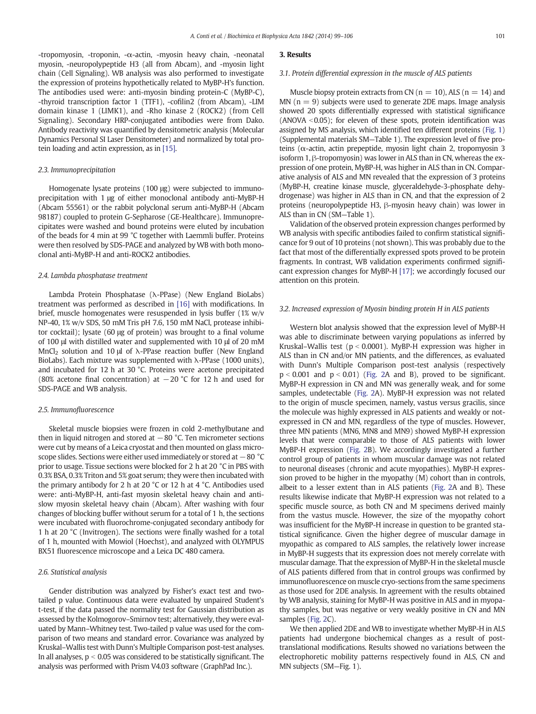-tropomyosin, -troponin, -α-actin, -myosin heavy chain, -neonatal myosin, -neuropolypeptide H3 (all from Abcam), and -myosin light chain (Cell Signaling). WB analysis was also performed to investigate the expression of proteins hypothetically related to MyBP-H's function. The antibodies used were: anti-myosin binding protein-C (MyBP-C), -thyroid transcription factor 1 (TTF1), -cofilin2 (from Abcam), -LIM domain kinase 1 (LIMK1), and -Rho kinase 2 (ROCK2) (from Cell Signaling). Secondary HRP-conjugated antibodies were from Dako. Antibody reactivity was quantified by densitometric analysis (Molecular Dynamics Personal SI Laser Densitometer) and normalized by total protein loading and actin expression, as in [\[15\].](#page-6-0)

#### 2.3. Immunoprecipitation

Homogenate lysate proteins (100 μg) were subjected to immunoprecipitation with 1 μg of either monoclonal antibody anti-MyBP-H (Abcam 55561) or the rabbit polyclonal serum anti-MyBP-H (Abcam 98187) coupled to protein G-Sepharose (GE-Healthcare). Immunoprecipitates were washed and bound proteins were eluted by incubation of the beads for 4 min at 99 °C together with Laemmli buffer. Proteins were then resolved by SDS-PAGE and analyzed by WB with both monoclonal anti-MyBP-H and anti-ROCK2 antibodies.

#### 2.4. Lambda phosphatase treatment

Lambda Protein Phosphatase (λ-PPase) (New England BioLabs) treatment was performed as described in [\[16\]](#page-6-0) with modifications. In brief, muscle homogenates were resuspended in lysis buffer (1% w/v NP-40, 1% w/v SDS, 50 mM Tris pH 7.6, 150 mM NaCl, protease inhibitor cocktail); lysate (60 μg of protein) was brought to a final volume of 100 μl with distilled water and supplemented with 10 μl of 20 mM MnCl<sub>2</sub> solution and 10 μl of  $\lambda$ -PPase reaction buffer (New England BioLabs). Each mixture was supplemented with  $\lambda$ -PPase (1000 units), and incubated for 12 h at 30 °C. Proteins were acetone precipitated (80% acetone final concentration) at −20 °C for 12 h and used for SDS-PAGE and WB analysis.

#### 2.5. Immunofluorescence

Skeletal muscle biopsies were frozen in cold 2-methylbutane and then in liquid nitrogen and stored at  $-80$  °C. Ten micrometer sections were cut by means of a Leica cryostat and then mounted on glass microscope slides. Sections were either used immediately or stored at −80 °C prior to usage. Tissue sections were blocked for 2 h at 20 °C in PBS with 0.3% BSA, 0.3% Triton and 5% goat serum; they were then incubated with the primary antibody for 2 h at 20 °C or 12 h at 4 °C. Antibodies used were: anti-MyBP-H, anti-fast myosin skeletal heavy chain and antislow myosin skeletal heavy chain (Abcam). After washing with four changes of blocking buffer without serum for a total of 1 h, the sections were incubated with fluorochrome-conjugated secondary antibody for 1 h at 20 °C (Invitrogen). The sections were finally washed for a total of 1 h, mounted with Mowiol (Hoechst), and analyzed with OLYMPUS BX51 fluorescence microscope and a Leica DC 480 camera.

#### 2.6. Statistical analysis

Gender distribution was analyzed by Fisher's exact test and twotailed p value. Continuous data were evaluated by unpaired Student's t-test, if the data passed the normality test for Gaussian distribution as assessed by the Kolmogorov–Smirnov test; alternatively, they were evaluated by Mann–Whitney test. Two-tailed p value was used for the comparison of two means and standard error. Covariance was analyzed by Kruskal–Wallis test with Dunn's Multiple Comparison post-test analyses. In all analyses,  $p < 0.05$  was considered to be statistically significant. The analysis was performed with Prism V4.03 software (GraphPad Inc.).

### 3. Results

#### 3.1. Protein differential expression in the muscle of ALS patients

Muscle biopsy protein extracts from CN ( $n = 10$ ), ALS ( $n = 14$ ) and MN  $(n = 9)$  subjects were used to generate 2DE maps. Image analysis showed 20 spots differentially expressed with statistical significance (ANOVA  $<$  0.05); for eleven of these spots, protein identification was assigned by MS analysis, which identified ten different proteins [\(Fig. 1](#page-3-0)) (Supplemental materials SM—Table 1). The expression level of five proteins (α-actin, actin prepeptide, myosin light chain 2, tropomyosin 3 isoform 1, β-tropomyosin) was lower in ALS than in CN, whereas the expression of one protein, MyBP-H, was higher in ALS than in CN. Comparative analysis of ALS and MN revealed that the expression of 3 proteins (MyBP-H, creatine kinase muscle, glyceraldehyde-3-phosphate dehydrogenase) was higher in ALS than in CN, and that the expression of 2 proteins (neuropolypeptide H3, β-myosin heavy chain) was lower in ALS than in CN (SM—Table 1).

Validation of the observed protein expression changes performed by WB analysis with specific antibodies failed to confirm statistical significance for 9 out of 10 proteins (not shown). This was probably due to the fact that most of the differentially expressed spots proved to be protein fragments. In contrast, WB validation experiments confirmed significant expression changes for MyBP-H [\[17\]](#page-6-0); we accordingly focused our attention on this protein.

#### 3.2. Increased expression of Myosin binding protein H in ALS patients

Western blot analysis showed that the expression level of MyBP-H was able to discriminate between varying populations as inferred by Kruskal–Wallis test ( $p < 0.0001$ ). MyBP-H expression was higher in ALS than in CN and/or MN patients, and the differences, as evaluated with Dunn's Multiple Comparison post-test analysis (respectively  $p < 0.001$  and  $p < 0.01$ ) [\(Fig. 2](#page-3-0)A and B), proved to be significant. MyBP-H expression in CN and MN was generally weak, and for some samples, undetectable [\(Fig. 2A](#page-3-0)). MyBP-H expression was not related to the origin of muscle specimen, namely, vastus versus gracilis, since the molecule was highly expressed in ALS patients and weakly or notexpressed in CN and MN, regardless of the type of muscles. However, three MN patients (MN6, MN8 and MN9) showed MyBP-H expression levels that were comparable to those of ALS patients with lower MyBP-H expression ([Fig. 2B](#page-3-0)). We accordingly investigated a further control group of patients in whom muscular damage was not related to neuronal diseases (chronic and acute myopathies). MyBP-H expression proved to be higher in the myopathy (M) cohort than in controls, albeit to a lesser extent than in ALS patients ([Fig. 2A](#page-3-0) and B). These results likewise indicate that MyBP-H expression was not related to a specific muscle source, as both CN and M specimens derived mainly from the vastus muscle. However, the size of the myopathy cohort was insufficient for the MyBP-H increase in question to be granted statistical significance. Given the higher degree of muscular damage in myopathic as compared to ALS samples, the relatively lower increase in MyBP-H suggests that its expression does not merely correlate with muscular damage. That the expression of MyBP-H in the skeletal muscle of ALS patients differed from that in control groups was confirmed by immunofluorescence on muscle cryo-sections from the same specimens as those used for 2DE analysis. In agreement with the results obtained by WB analysis, staining for MyBP-H was positive in ALS and in myopathy samples, but was negative or very weakly positive in CN and MN samples ([Fig. 2C](#page-3-0)).

We then applied 2DE and WB to investigate whether MyBP-H in ALS patients had undergone biochemical changes as a result of posttranslational modifications. Results showed no variations between the electrophoretic mobility patterns respectively found in ALS, CN and MN subjects (SM—Fig. 1).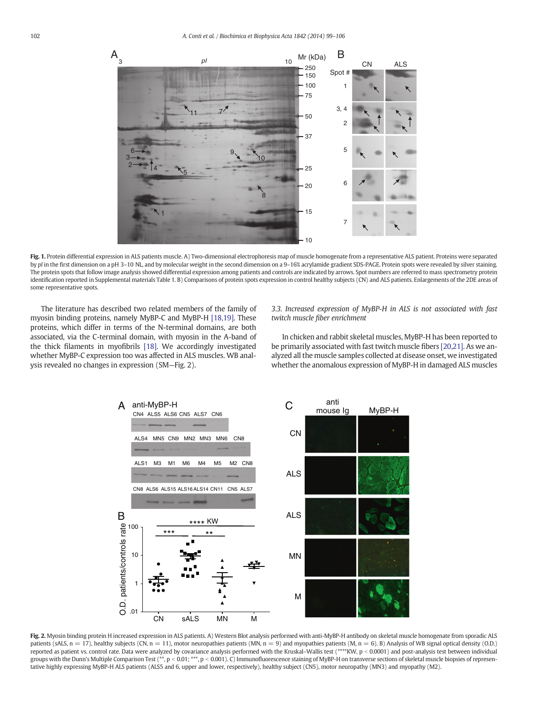<span id="page-3-0"></span>

Fig. 1. Protein differential expression in ALS patients muscle. A) Two-dimensional electrophoresis map of muscle homogenate from a representative ALS patient. Proteins were separated by pI in the first dimension on a pH 3–10 NL, and by molecular weight in the second dimension on a 9–16% acrylamide gradient SDS-PAGE. Protein spots were revealed by silver staining. The protein spots that follow image analysis showed differential expression among patients and controls are indicated by arrows. Spot numbers are referred to mass spectrometry protein identification reported in Supplemental materials Table 1. B) Comparisons of protein spots expression in control healthy subjects (CN) and ALS patients. Enlargements of the 2DE areas of some representative spots.

The literature has described two related members of the family of myosin binding proteins, namely MyBP-C and MyBP-H [\[18,19\].](#page-6-0) These proteins, which differ in terms of the N-terminal domains, are both associated, via the C-terminal domain, with myosin in the A-band of the thick filaments in myofibrils [\[18\]](#page-6-0). We accordingly investigated whether MyBP-C expression too was affected in ALS muscles. WB analysis revealed no changes in expression (SM—Fig. 2).

3.3. Increased expression of MyBP-H in ALS is not associated with fast twitch muscle fiber enrichment

In chicken and rabbit skeletal muscles, MyBP-H has been reported to be primarily associated with fast twitch muscle fibers [\[20,21\].](#page-7-0) As we analyzed all the muscle samples collected at disease onset, we investigated whether the anomalous expression of MyBP-H in damaged ALS muscles



Fig. 2. Myosin binding protein H increased expression in ALS patients. A) Western Blot analysis performed with anti-MyBP-H antibody on skeletal muscle homogenate from sporadic ALS patients (sALS,  $n = 17$ ), healthy subjects (CN,  $n = 11$ ), motor neuropathies patients (MN,  $n = 9$ ) and myopathies patients (M,  $n = 6$ ). B) Analysis of WB signal optical density (O.D.) reported as patient vs. control rate. Data were analyzed by covariance analysis performed with the Kruskal–Wallis test (\*\*\*\*KW, p < 0.0001) and post-analysis test between individual groups with the Dunn's Multiple Comparison Test (\*\*, p < 0.01; \*\*\*, p < 0.001). C) Immunofluorescence staining of MyBP-H on transverse sections of skeletal muscle biopsies of representative highly expressing MyBP-H ALS patients (ALS5 and 6, upper and lower, respectively), healthy subject (CN5), motor neuropathy (MN3) and myopathy (M2).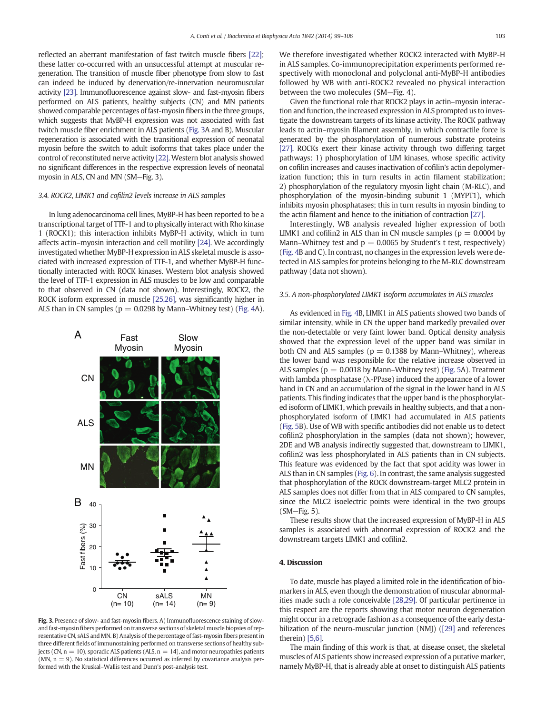reflected an aberrant manifestation of fast twitch muscle fibers [\[22\];](#page-7-0) these latter co-occurred with an unsuccessful attempt at muscular regeneration. The transition of muscle fiber phenotype from slow to fast can indeed be induced by denervation/re-innervation neuromuscular activity [\[23\].](#page-7-0) Immunofluorescence against slow- and fast-myosin fibers performed on ALS patients, healthy subjects (CN) and MN patients showed comparable percentages of fast-myosin fibers in the three groups, which suggests that MyBP-H expression was not associated with fast twitch muscle fiber enrichment in ALS patients (Fig. 3A and B). Muscular regeneration is associated with the transitional expression of neonatal myosin before the switch to adult isoforms that takes place under the control of reconstituted nerve activity [\[22\]](#page-7-0). Western blot analysis showed no significant differences in the respective expression levels of neonatal myosin in ALS, CN and MN (SM—Fig. 3).

#### 3.4. ROCK2, LIMK1 and cofilin2 levels increase in ALS samples

In lung adenocarcinoma cell lines, MyBP-H has been reported to be a transcriptional target of TTF-1 and to physically interact with Rho kinase 1 (ROCK1); this interaction inhibits MyBP-H activity, which in turn affects actin–myosin interaction and cell motility [\[24\].](#page-7-0) We accordingly investigated whether MyBP-H expression in ALS skeletal muscle is associated with increased expression of TTF-1, and whether MyBP-H functionally interacted with ROCK kinases. Western blot analysis showed the level of TTF-1 expression in ALS muscles to be low and comparable to that observed in CN (data not shown). Interestingly, ROCK2, the ROCK isoform expressed in muscle [\[25,26\],](#page-7-0) was significantly higher in ALS than in CN samples ( $p = 0.0298$  by Mann–Whitney test) [\(Fig. 4](#page-5-0)A).



Fig. 3. Presence of slow- and fast-myosin fibers. A) Immunofluorescence staining of slowand fast-myosin fibers performed on transverse sections of skeletal muscle biopsies of representative CN, sALS and MN. B) Analysis of the percentage of fast-myosin fibers present in three different fields of immunostaining performed on transverse sections of healthy subjects (CN,  $n = 10$ ), sporadic ALS patients (ALS,  $n = 14$ ), and motor neuropathies patients (MN,  $n = 9$ ). No statistical differences occurred as inferred by covariance analysis performed with the Kruskal–Wallis test and Dunn's post-analysis test.

We therefore investigated whether ROCK2 interacted with MyBP-H in ALS samples. Co-immunoprecipitation experiments performed respectively with monoclonal and polyclonal anti-MyBP-H antibodies followed by WB with anti-ROCK2 revealed no physical interaction between the two molecules (SM—Fig. 4).

Given the functional role that ROCK2 plays in actin–myosin interaction and function, the increased expression in ALS prompted us to investigate the downstream targets of its kinase activity. The ROCK pathway leads to actin–myosin filament assembly, in which contractile force is generated by the phosphorylation of numerous substrate proteins [\[27\].](#page-7-0) ROCKs exert their kinase activity through two differing target pathways: 1) phosphorylation of LIM kinases, whose specific activity on cofilin increases and causes inactivation of cofilin's actin depolymerization function; this in turn results in actin filament stabilization; 2) phosphorylation of the regulatory myosin light chain (M-RLC), and phosphorylation of the myosin-binding subunit 1 (MYPT1), which inhibits myosin phosphatases; this in turn results in myosin binding to the actin filament and hence to the initiation of contraction [\[27\]](#page-7-0).

Interestingly, WB analysis revealed higher expression of both LIMK1 and cofilin2 in ALS than in CN muscle samples ( $p = 0.0004$  by Mann–Whitney test and  $p = 0.0065$  by Student's t test, respectively) [\(Fig. 4](#page-5-0)B and C). In contrast, no changes in the expression levels were detected in ALS samples for proteins belonging to the M-RLC downstream pathway (data not shown).

#### 3.5. A non-phosphorylated LIMK1 isoform accumulates in ALS muscles

As evidenced in [Fig. 4](#page-5-0)B, LIMK1 in ALS patients showed two bands of similar intensity, while in CN the upper band markedly prevailed over the non-detectable or very faint lower band. Optical density analysis showed that the expression level of the upper band was similar in both CN and ALS samples ( $p = 0.1388$  by Mann–Whitney), whereas the lower band was responsible for the relative increase observed in ALS samples ( $p = 0.0018$  by Mann–Whitney test) ([Fig. 5](#page-5-0)A). Treatment with lambda phosphatase (λ-PPase) induced the appearance of a lower band in CN and an accumulation of the signal in the lower band in ALS patients. This finding indicates that the upper band is the phosphorylated isoform of LIMK1, which prevails in healthy subjects, and that a nonphosphorylated isoform of LIMK1 had accumulated in ALS patients [\(Fig. 5](#page-5-0)B). Use of WB with specific antibodies did not enable us to detect cofilin2 phosphorylation in the samples (data not shown); however, 2DE and WB analysis indirectly suggested that, downstream to LIMK1, cofilin2 was less phosphorylated in ALS patients than in CN subjects. This feature was evidenced by the fact that spot acidity was lower in ALS than in CN samples [\(Fig. 6\)](#page-5-0). In contrast, the same analysis suggested that phosphorylation of the ROCK downstream-target MLC2 protein in ALS samples does not differ from that in ALS compared to CN samples, since the MLC2 isoelectric points were identical in the two groups (SM—Fig. 5).

These results show that the increased expression of MyBP-H in ALS samples is associated with abnormal expression of ROCK2 and the downstream targets LIMK1 and cofilin2.

#### 4. Discussion

To date, muscle has played a limited role in the identification of biomarkers in ALS, even though the demonstration of muscular abnormalities made such a role conceivable [\[28,29\].](#page-7-0) Of particular pertinence in this respect are the reports showing that motor neuron degeneration might occur in a retrograde fashion as a consequence of the early destabilization of the neuro-muscular junction (NMJ) [\(\[29\]](#page-7-0) and references therein) [\[5,6\].](#page-6-0)

The main finding of this work is that, at disease onset, the skeletal muscles of ALS patients show increased expression of a putative marker, namely MyBP-H, that is already able at onset to distinguish ALS patients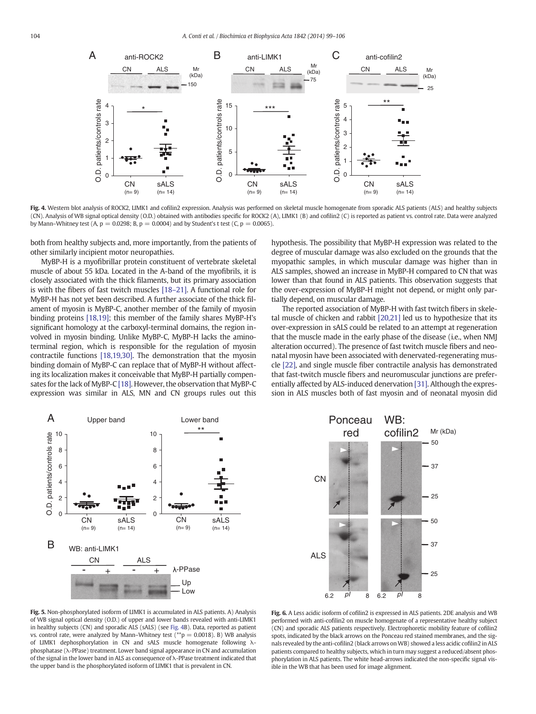<span id="page-5-0"></span>

Fig. 4. Western blot analysis of ROCK2, LIMK1 and cofilin2 expression. Analysis was performed on skeletal muscle homogenate from sporadic ALS patients (ALS) and healthy subjects (CN). Analysis of WB signal optical density (O.D.) obtained with antibodies specific for ROCK2 (A), LIMK1 (B) and cofilin2 (C) is reported as patient vs. control rate. Data were analyzed by Mann–Whitney test (A,  $p = 0.0298$ ; B,  $p = 0.0004$ ) and by Student's t test (C,  $p = 0.0065$ ).

both from healthy subjects and, more importantly, from the patients of other similarly incipient motor neuropathies.

MyBP-H is a myofibrillar protein constituent of vertebrate skeletal muscle of about 55 kDa. Located in the A-band of the myofibrils, it is closely associated with the thick filaments, but its primary association is with the fibers of fast twitch muscles [\[18](#page-6-0)–21]. A functional role for MyBP-H has not yet been described. A further associate of the thick filament of myosin is MyBP-C, another member of the family of myosin binding proteins [\[18,19\];](#page-6-0) this member of the family shares MyBP-H's significant homology at the carboxyl-terminal domains, the region involved in myosin binding. Unlike MyBP-C, MyBP-H lacks the aminoterminal region, which is responsible for the regulation of myosin contractile functions [\[18,19,30\]](#page-6-0). The demonstration that the myosin binding domain of MyBP-C can replace that of MyBP-H without affecting its localization makes it conceivable that MyBP-H partially compensates for the lack of MyBP-C [\[18\].](#page-6-0) However, the observation that MyBP-C expression was similar in ALS, MN and CN groups rules out this

hypothesis. The possibility that MyBP-H expression was related to the degree of muscular damage was also excluded on the grounds that the myopathic samples, in which muscular damage was higher than in ALS samples, showed an increase in MyBP-H compared to CN that was lower than that found in ALS patients. This observation suggests that the over-expression of MyBP-H might not depend, or might only partially depend, on muscular damage.

The reported association of MyBP-H with fast twitch fibers in skeletal muscle of chicken and rabbit [\[20,21\]](#page-7-0) led us to hypothesize that its over-expression in sALS could be related to an attempt at regeneration that the muscle made in the early phase of the disease (i.e., when NMJ alteration occurred). The presence of fast twitch muscle fibers and neonatal myosin have been associated with denervated-regenerating muscle [\[22\]](#page-7-0), and single muscle fiber contractile analysis has demonstrated that fast-twitch muscle fibers and neuromuscular junctions are preferentially affected by ALS-induced denervation [\[31\].](#page-7-0) Although the expression in ALS muscles both of fast myosin and of neonatal myosin did





Fig. 5. Non-phosphorylated isoform of LIMK1 is accumulated in ALS patients. A) Analysis of WB signal optical density (O.D.) of upper and lower bands revealed with anti-LIMK1 in healthy subjects (CN) and sporadic ALS (sALS) (see Fig. 4B). Data, reported as patient vs. control rate, were analyzed by Mann–Whitney test ( $*$ p = 0.0018). B) WB analysis of LIMK1 dephosphorylation in CN and sALS muscle homogenate following λphosphatase (λ-PPase) treatment. Lower band signal appearance in CN and accumulation of the signal in the lower band in ALS as consequence of λ-PPase treatment indicated that the upper band is the phosphorylated isoform of LIMK1 that is prevalent in CN.

Fig. 6. A Less acidic isoform of cofilin2 is expressed in ALS patients. 2DE analysis and WB performed with anti-cofilin2 on muscle homogenate of a representative healthy subject (CN) and sporadic ALS patients respectively. Electrophoretic mobility feature of cofilin2 spots, indicated by the black arrows on the Ponceau red stained membranes, and the signals revealed by the anti-cofilin2 (black arrows onWB) showed a less acidic cofilin2 in ALS patients compared to healthy subjects, which in turn may suggest a reduced/absent phosphorylation in ALS patients. The white head-arrows indicated the non-specific signal visible in the WB that has been used for image alignment.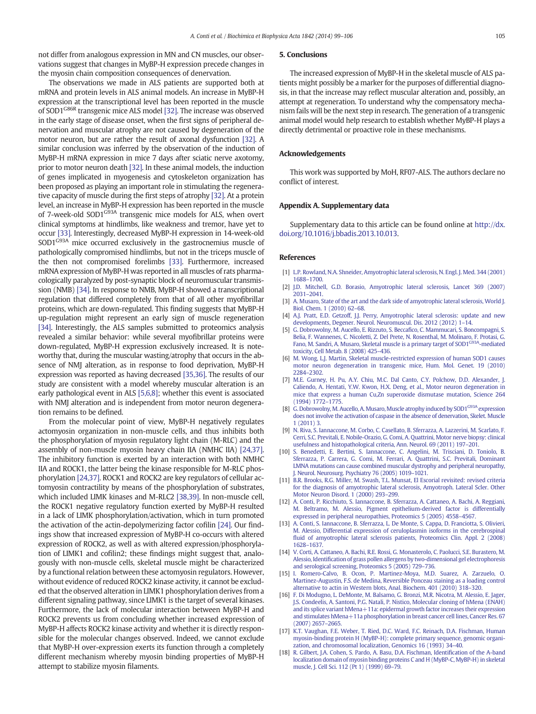<span id="page-6-0"></span>not differ from analogous expression in MN and CN muscles, our observations suggest that changes in MyBP-H expression precede changes in the myosin chain composition consequences of denervation.

The observations we made in ALS patients are supported both at mRNA and protein levels in ALS animal models. An increase in MyBP-H expression at the transcriptional level has been reported in the muscle of SOD1<sup>G86R</sup> transgenic mice ALS model [\[32\].](#page-7-0) The increase was observed in the early stage of disease onset, when the first signs of peripheral denervation and muscular atrophy are not caused by degeneration of the motor neuron, but are rather the result of axonal dysfunction [\[32\]](#page-7-0). A similar conclusion was inferred by the observation of the induction of MyBP-H mRNA expression in mice 7 days after sciatic nerve axotomy, prior to motor neuron death [\[32\].](#page-7-0) In these animal models, the induction of genes implicated in myogenesis and cytoskeleton organization has been proposed as playing an important role in stimulating the regenerative capacity of muscle during the first steps of atrophy [\[32\].](#page-7-0) At a protein level, an increase in MyBP-H expression has been reported in the muscle of 7-week-old SOD1<sup>G93A</sup> transgenic mice models for ALS, when overt clinical symptoms at hindlimbs, like weakness and tremor, have yet to occur [\[33\]](#page-7-0). Interestingly, decreased MyBP-H expression in 14-week-old SOD1<sup>G93A</sup> mice occurred exclusively in the gastrocnemius muscle of pathologically compromised hindlimbs, but not in the triceps muscle of the then not compromised forelimbs [\[33\]](#page-7-0). Furthermore, increased mRNA expression of MyBP-H was reported in all muscles of rats pharmacologically paralyzed by post-synaptic block of neuromuscular transmission (NMB) [\[34\]](#page-7-0). In response to NMB, MyBP-H showed a transcriptional regulation that differed completely from that of all other myofibrillar proteins, which are down-regulated. This finding suggests that MyBP-H up-regulation might represent an early sign of muscle regeneration [\[34\].](#page-7-0) Interestingly, the ALS samples submitted to proteomics analysis revealed a similar behavior: while several myofibrillar proteins were down-regulated, MyBP-H expression exclusively increased. It is noteworthy that, during the muscular wasting/atrophy that occurs in the absence of NMJ alteration, as in response to food deprivation, MyBP-H expression was reported as having decreased [\[35,36\]](#page-7-0). The results of our study are consistent with a model whereby muscular alteration is an early pathological event in ALS [5,6,8]; whether this event is associated with NMJ alteration and is independent from motor neuron degeneration remains to be defined.

From the molecular point of view, MyBP-H negatively regulates actomyosin organization in non-muscle cells, and thus inhibits both the phosphorylation of myosin regulatory light chain (M-RLC) and the assembly of non-muscle myosin heavy chain IIA (NMHC IIA) [\[24,37\].](#page-7-0) The inhibitory function is exerted by an interaction with both NMHC IIA and ROCK1, the latter being the kinase responsible for M-RLC phosphorylation [\[24,37\].](#page-7-0) ROCK1 and ROCK2 are key regulators of cellular actomyosin contractility by means of the phosphorylation of substrates, which included LIMK kinases and M-RLC2 [\[38,39\]](#page-7-0). In non-muscle cell, the ROCK1 negative regulatory function exerted by MyBP-H resulted in a lack of LIMK phosphorylation/activation, which in turn promoted the activation of the actin-depolymerizing factor cofilin [\[24\]](#page-7-0). Our findings show that increased expression of MyBP-H co-occurs with altered expression of ROCK2, as well as with altered expression/phosphorylation of LIMK1 and cofilin2; these findings might suggest that, analogously with non-muscle cells, skeletal muscle might be characterized by a functional relation between these actomyosin regulators. However, without evidence of reduced ROCK2 kinase activity, it cannot be excluded that the observed alteration in LIMK1 phosphorylation derives from a different signaling pathway, since LIMK1 is the target of several kinases. Furthermore, the lack of molecular interaction between MyBP-H and ROCK2 prevents us from concluding whether increased expression of MyBP-H affects ROCK2 kinase activity and whether it is directly responsible for the molecular changes observed. Indeed, we cannot exclude that MyBP-H over-expression exerts its function through a completely different mechanism whereby myosin binding properties of MyBP-H attempt to stabilize myosin filaments.

#### 5. Conclusions

The increased expression of MyBP-H in the skeletal muscle of ALS patients might possibly be a marker for the purposes of differential diagnosis, in that the increase may reflect muscular alteration and, possibly, an attempt at regeneration. To understand why the compensatory mechanism fails will be the next step in research. The generation of a transgenic animal model would help research to establish whether MyBP-H plays a directly detrimental or proactive role in these mechanisms.

#### Acknowledgements

This work was supported by MoH, RF07-ALS. The authors declare no conflict of interest.

#### Appendix A. Supplementary data

Supplementary data to this article can be found online at [http://dx.](http://dx.doi.org/10.1016/j.bbadis.2013.10.013) [doi.org/10.1016/j.bbadis.2013.10.013.](http://dx.doi.org/10.1016/j.bbadis.2013.10.013)

#### References

- [1] [L.P. Rowland, N.A. Shneider, Amyotrophic lateral sclerosis, N. Engl. J. Med. 344 \(2001\)](http://refhub.elsevier.com/S0925-4439(13)00318-9/rf0005) 1688–[1700.](http://refhub.elsevier.com/S0925-4439(13)00318-9/rf0005)
- [2] [J.D. Mitchell, G.D. Borasio, Amyotrophic lateral sclerosis, Lancet 369 \(2007\)](http://refhub.elsevier.com/S0925-4439(13)00318-9/rf0010) 2031–[2041.](http://refhub.elsevier.com/S0925-4439(13)00318-9/rf0010)
- [3] [A. Musaro, State of the art and the dark side of amyotrophic lateral sclerosis, World J.](http://refhub.elsevier.com/S0925-4439(13)00318-9/rf0015) [Biol. Chem. 1 \(2010\) 62](http://refhub.elsevier.com/S0925-4439(13)00318-9/rf0015)–68.
- [4] [A.J. Pratt, E.D. Getzoff, J.J. Perry, Amyotrophic lateral sclerosis: update and new](http://refhub.elsevier.com/S0925-4439(13)00318-9/rf0020) [developments, Degener. Neurol. Neuromuscul. Dis. 2012 \(2012\) 1](http://refhub.elsevier.com/S0925-4439(13)00318-9/rf0020)–14.
- [5] [G. Dobrowolny, M. Aucello, E. Rizzuto, S. Becca](http://refhub.elsevier.com/S0925-4439(13)00318-9/rf0025)fico, C. Mammucari, S. Boncompagni, S. [Belia, F. Wannenes, C. Nicoletti, Z. Del Prete, N. Rosenthal, M. Molinaro, F. Protasi, G.](http://refhub.elsevier.com/S0925-4439(13)00318-9/rf0025) [Fano,](http://refhub.elsevier.com/S0925-4439(13)00318-9/rf0025) [M.](http://refhub.elsevier.com/S0925-4439(13)00318-9/rf0025) [Sandri,](http://refhub.elsevier.com/S0925-4439(13)00318-9/rf0025) [A.](http://refhub.elsevier.com/S0925-4439(13)00318-9/rf0025) [Musaro,](http://refhub.elsevier.com/S0925-4439(13)00318-9/rf0025) [Skeletal](http://refhub.elsevier.com/S0925-4439(13)00318-9/rf0025) [muscle](http://refhub.elsevier.com/S0925-4439(13)00318-9/rf0025) [is](http://refhub.elsevier.com/S0925-4439(13)00318-9/rf0025) [a](http://refhub.elsevier.com/S0925-4439(13)00318-9/rf0025) [primary](http://refhub.elsevier.com/S0925-4439(13)00318-9/rf0025) [target](http://refhub.elsevier.com/S0925-4439(13)00318-9/rf0025) [of](http://refhub.elsevier.com/S0925-4439(13)00318-9/rf0025) SOD1<sup>G93A</sup>-mediated [toxicity, Cell Metab. 8 \(2008\) 425](http://refhub.elsevier.com/S0925-4439(13)00318-9/rf0025)–436.
- [6] [M. Wong, L.J. Martin, Skeletal muscle-restricted expression of human SOD1 causes](http://refhub.elsevier.com/S0925-4439(13)00318-9/rf0030) [motor neuron degeneration in transgenic mice, Hum. Mol. Genet. 19 \(2010\)](http://refhub.elsevier.com/S0925-4439(13)00318-9/rf0030) 2284–[2302.](http://refhub.elsevier.com/S0925-4439(13)00318-9/rf0030)
- [7] [M.E. Gurney, H. Pu, A.Y. Chiu, M.C. Dal Canto, C.Y. Polchow, D.D. Alexander, J.](http://refhub.elsevier.com/S0925-4439(13)00318-9/rf0035) [Caliendo, A. Hentati, Y.W. Kwon, H.X. Deng, et al., Motor neuron degeneration in](http://refhub.elsevier.com/S0925-4439(13)00318-9/rf0035) [mice that express a human Cu,Zn superoxide dismutase mutation, Science 264](http://refhub.elsevier.com/S0925-4439(13)00318-9/rf0035) [\(1994\) 1772](http://refhub.elsevier.com/S0925-4439(13)00318-9/rf0035)–1775.
- [8] [G.](http://refhub.elsevier.com/S0925-4439(13)00318-9/rf0040) [Dobrowolny,](http://refhub.elsevier.com/S0925-4439(13)00318-9/rf0040) [M.](http://refhub.elsevier.com/S0925-4439(13)00318-9/rf0040) [Aucello,](http://refhub.elsevier.com/S0925-4439(13)00318-9/rf0040) [A.](http://refhub.elsevier.com/S0925-4439(13)00318-9/rf0040) Musaro, Muscle [atrophy](http://refhub.elsevier.com/S0925-4439(13)00318-9/rf0040) [induced](http://refhub.elsevier.com/S0925-4439(13)00318-9/rf0040) [by](http://refhub.elsevier.com/S0925-4439(13)00318-9/rf0040) SOD1<sup>G93A</sup> [expression](http://refhub.elsevier.com/S0925-4439(13)00318-9/rf0040) [does not involve the activation of caspase in](http://refhub.elsevier.com/S0925-4439(13)00318-9/rf0040) the absence of denervation, Skelet. Muscle [1 \(2011\) 3](http://refhub.elsevier.com/S0925-4439(13)00318-9/rf0040).
- [9] [N. Riva, S. Iannaccone, M. Corbo, C. Casellato, B. Sferrazza, A. Lazzerini, M. Scarlato, F.](http://refhub.elsevier.com/S0925-4439(13)00318-9/rf0045) [Cerri, S.C. Previtali, E. Nobile-Orazio, G. Comi, A. Quattrini, Motor nerve biopsy: clinical](http://refhub.elsevier.com/S0925-4439(13)00318-9/rf0045) [usefulness and histopathological criteria, Ann. Neurol. 69 \(2011\) 197](http://refhub.elsevier.com/S0925-4439(13)00318-9/rf0045)–201.
- [10] [S. Benedetti, E. Bertini, S. Iannaccone, C. Angelini, M. Trisciani, D. Toniolo, B.](http://refhub.elsevier.com/S0925-4439(13)00318-9/rf0050) [Sferrazza, P. Carrera, G. Comi, M. Ferrari, A. Quattrini, S.C. Previtali, Dominant](http://refhub.elsevier.com/S0925-4439(13)00318-9/rf0050) [LMNA mutations can cause combined muscular dystrophy and peripheral neuropathy,](http://refhub.elsevier.com/S0925-4439(13)00318-9/rf0050) [J. Neurol. Neurosurg. Psychiatry 76 \(2005\) 1019](http://refhub.elsevier.com/S0925-4439(13)00318-9/rf0050)–1021.
- [11] [B.R. Brooks, R.G. Miller, M. Swash, T.L. Munsat, El Escorial revisited: revised criteria](http://refhub.elsevier.com/S0925-4439(13)00318-9/rf0055) [for the diagnosis of amyotrophic lateral sclerosis, Amyotroph. Lateral Scler. Other](http://refhub.elsevier.com/S0925-4439(13)00318-9/rf0055) [Motor Neuron Disord. 1 \(2000\) 293](http://refhub.elsevier.com/S0925-4439(13)00318-9/rf0055)–299.
- [12] [A. Conti, P. Ricchiuto, S. Iannaccone, B. Sferrazza, A. Cattaneo, A. Bachi, A. Reggiani,](http://refhub.elsevier.com/S0925-4439(13)00318-9/rf0060) [M. Beltramo, M. Alessio, Pigment epithelium-derived factor is differentially](http://refhub.elsevier.com/S0925-4439(13)00318-9/rf0060) [expressed in peripheral neuropathies, Proteomics 5 \(2005\) 4558](http://refhub.elsevier.com/S0925-4439(13)00318-9/rf0060)–4567.
- [13] [A. Conti, S. Iannaccone, B. Sferrazza, L. De Monte, S. Cappa, D. Franciotta, S. Olivieri,](http://refhub.elsevier.com/S0925-4439(13)00318-9/rf0065) [M. Alessio, Differential expression of ceruloplasmin isoforms in the cerebrospinal](http://refhub.elsevier.com/S0925-4439(13)00318-9/rf0065) fl[uid of amyotrophic lateral sclerosis patients, Proteomics Clin. Appl. 2 \(2008\)](http://refhub.elsevier.com/S0925-4439(13)00318-9/rf0065) 1628–[1637.](http://refhub.elsevier.com/S0925-4439(13)00318-9/rf0065)
- [14] [V. Corti, A. Cattaneo, A. Bachi, R.E. Rossi, G. Monasterolo, C. Paolucci, S.E. Burastero, M.](http://refhub.elsevier.com/S0925-4439(13)00318-9/rf0070) Alessio, Identifi[cation of grass pollen allergens by two-dimensional gel electrophoresis](http://refhub.elsevier.com/S0925-4439(13)00318-9/rf0070) [and serological screening, Proteomics 5 \(2005\) 729](http://refhub.elsevier.com/S0925-4439(13)00318-9/rf0070)–736.
- [15] [I. Romero-Calvo, B. Ocon, P. Martinez-Moya, M.D. Suarez, A. Zarzuelo, O.](http://refhub.elsevier.com/S0925-4439(13)00318-9/rf0075) [Martinez-Augustin, F.S. de Medina, Reversible Ponceau staining as a loading control](http://refhub.elsevier.com/S0925-4439(13)00318-9/rf0075) [alternative to actin in Western blots, Anal. Biochem. 401 \(2010\) 318](http://refhub.elsevier.com/S0925-4439(13)00318-9/rf0075)–320.
- [16] [F. Di Modugno, L. DeMonte, M. Balsamo, G. Bronzi, M.R. Nicotra, M. Alessio, E. Jager,](http://refhub.elsevier.com/S0925-4439(13)00318-9/rf0080) [J.S. Condeelis, A. Santoni, P.G. Natali, P. Nistico, Molecular cloning of hMena \(ENAH\)](http://refhub.elsevier.com/S0925-4439(13)00318-9/rf0080) [and its splice variant hMena+11a: epidermal](http://refhub.elsevier.com/S0925-4439(13)00318-9/rf0080) growth factor increases their expression [and stimulates hMena+11a phosphorylation in breast cancer cell lines, Cancer Res. 67](http://refhub.elsevier.com/S0925-4439(13)00318-9/rf0080) [\(2007\) 2657](http://refhub.elsevier.com/S0925-4439(13)00318-9/rf0080)–2665.
- [17] [K.T. Vaughan, F.E. Weber, T. Ried, D.C. Ward, F.C. Reinach, D.A. Fischman, Human](http://refhub.elsevier.com/S0925-4439(13)00318-9/rf0085) [myosin-binding protein H \(MyBP-H\): complete primary sequence, genomic organi](http://refhub.elsevier.com/S0925-4439(13)00318-9/rf0085)[zation, and chromosomal localization, Genomics 16 \(1993\) 34](http://refhub.elsevier.com/S0925-4439(13)00318-9/rf0085)–40.
- [18] [R. Gilbert, J.A. Cohen, S. Pardo, A. Basu, D.A. Fischman, Identi](http://refhub.elsevier.com/S0925-4439(13)00318-9/rf0090)fication of the A-band [localization domain of myosin binding proteins C and H \(MyBP-C, MyBP-H\) in skeletal](http://refhub.elsevier.com/S0925-4439(13)00318-9/rf0090) [muscle, J. Cell Sci. 112 \(Pt 1\) \(1999\) 69](http://refhub.elsevier.com/S0925-4439(13)00318-9/rf0090)–79.